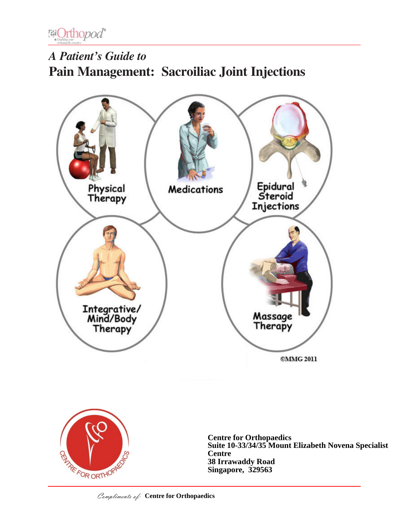

# *A Patient's Guide to* **Pain Management: Sacroiliac Joint Injections**





**Centre for Orthopaedics Suite 10-33/34/35 Mount Elizabeth Novena Specialist Centre 38 Irrawaddy Road Singapore, 329563**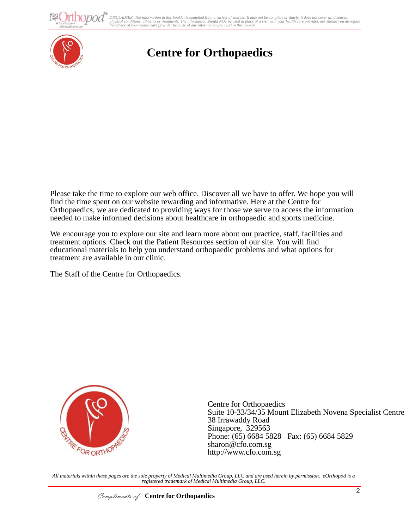DISCLAIMER: The information in this booklet is compiled from a variety of sources. It may not be complete or timely. It does not cover all diseases,<br>physical conditions, ailments or treatments. The information yould NOT be



## **Centre for Orthopaedics**

Please take the time to explore our web office. Discover all we have to offer. We hope you will find the time spent on our website rewarding and informative. Here at the Centre for Orthopaedics, we are dedicated to providing ways for those we serve to access the information needed to make informed decisions about healthcare in orthopaedic and sports medicine.

We encourage you to explore our site and learn more about our practice, staff, facilities and treatment options. Check out the Patient Resources section of our site. You will find educational materials to help you understand orthopaedic problems and what options for treatment are available in our clinic.

The Staff of the Centre for Orthopaedics.



Centre for Orthopaedics Suite 10-33/34/35 Mount Elizabeth Novena Specialist Centre 38 Irrawaddy Road Singapore, 329563 Phone: (65) 6684 5828 Fax: (65) 6684 5829 sharon@cfo.com.sg http://www.cfo.com.sg

*All materials within these pages are the sole property of Medical Multimedia Group, LLC and are used herein by permission. eOrthopod is a registered trademark of Medical Multimedia Group, LLC.*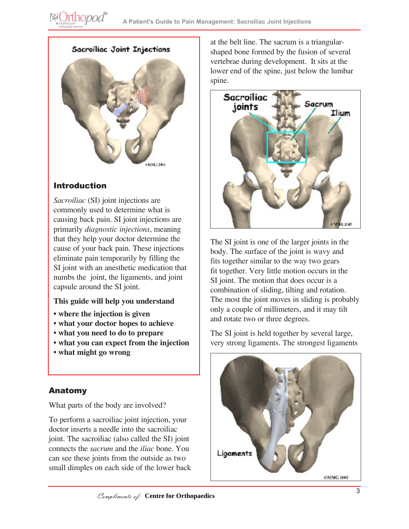



## Introduction

*Sacroiliac* (SI) joint injections are commonly used to determine what is causing back pain. SI joint injections are primarily *diagnostic injections*, meaning that they help your doctor determine the cause of your back pain. These injections eliminate pain temporarily by filling the SI joint with an anesthetic medication that numbs the joint, the ligaments, and joint capsule around the SI joint.

#### **This guide will help you understand**

- **where the injection is given**
- **what your doctor hopes to achieve**
- **what you need to do to prepare**
- **what you can expect from the injection**
- **what might go wrong**

## Anatomy

What parts of the body are involved?

To perform a sacroiliac joint injection, your doctor inserts a needle into the sacroiliac joint. The sacroiliac (also called the SI) joint connects the *sacrum* and the *iliac* bone. You can see these joints from the outside as two small dimples on each side of the lower back at the belt line. The sacrum is a triangularshaped bone formed by the fusion of several vertebrae during development. It sits at the lower end of the spine, just below the lumbar spine.



The SI joint is one of the larger joints in the body. The surface of the joint is wavy and fits together similar to the way two gears fit together. Very little motion occurs in the SI joint. The motion that does occur is a combination of sliding, tilting and rotation. The most the joint moves in sliding is probably only a couple of millimeters, and it may tilt and rotate two or three degrees.

The SI joint is held together by several large, very strong ligaments. The strongest ligaments

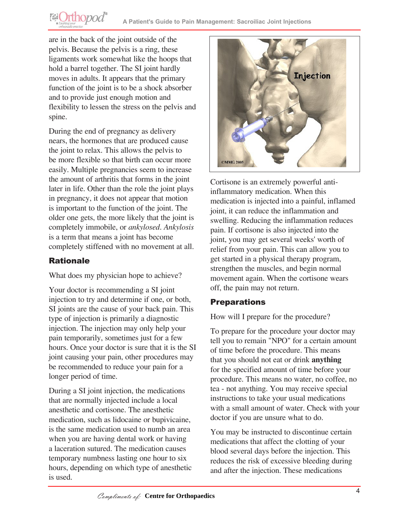are in the back of the joint outside of the pelvis. Because the pelvis is a ring, these ligaments work somewhat like the hoops that hold a barrel together. The SI joint hardly moves in adults. It appears that the primary function of the joint is to be a shock absorber and to provide just enough motion and flexibility to lessen the stress on the pelvis and spine.

**@Orthopod®** 

During the end of pregnancy as delivery nears, the hormones that are produced cause the joint to relax. This allows the pelvis to be more flexible so that birth can occur more easily. Multiple pregnancies seem to increase the amount of arthritis that forms in the joint later in life. Other than the role the joint plays in pregnancy, it does not appear that motion is important to the function of the joint. The older one gets, the more likely that the joint is completely immobile, or *ankylosed*. *Ankylosis* is a term that means a joint has become completely stiffened with no movement at all.

## **Rationale**

What does my physician hope to achieve?

Your doctor is recommending a SI joint injection to try and determine if one, or both, SI joints are the cause of your back pain. This type of injection is primarily a diagnostic injection. The injection may only help your pain temporarily, sometimes just for a few hours. Once your doctor is sure that it is the SI joint causing your pain, other procedures may be recommended to reduce your pain for a longer period of time.

During a SI joint injection, the medications that are normally injected include a local anesthetic and cortisone. The anesthetic medication, such as lidocaine or bupivicaine, is the same medication used to numb an area when you are having dental work or having a laceration sutured. The medication causes temporary numbness lasting one hour to six hours, depending on which type of anesthetic is used.



Cortisone is an extremely powerful antiinflammatory medication. When this medication is injected into a painful, inflamed joint, it can reduce the inflammation and swelling. Reducing the inflammation reduces pain. If cortisone is also injected into the joint, you may get several weeks' worth of relief from your pain. This can allow you to get started in a physical therapy program, strengthen the muscles, and begin normal movement again. When the cortisone wears off, the pain may not return.

## **Preparations**

How will I prepare for the procedure?

To prepare for the procedure your doctor may tell you to remain "NPO" for a certain amount of time before the procedure. This means that you should not eat or drink **anything** for the specified amount of time before your procedure. This means no water, no coffee, no tea - not anything. You may receive special instructions to take your usual medications with a small amount of water. Check with your doctor if you are unsure what to do.

You may be instructed to discontinue certain medications that affect the clotting of your blood several days before the injection. This reduces the risk of excessive bleeding during and after the injection. These medications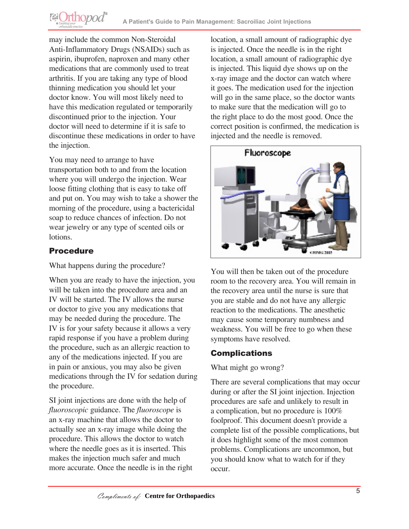may include the common Non-Steroidal Anti-Inflammatory Drugs (NSAIDs) such as aspirin, ibuprofen, naproxen and many other medications that are commonly used to treat arthritis. If you are taking any type of blood thinning medication you should let your doctor know. You will most likely need to have this medication regulated or temporarily discontinued prior to the injection. Your doctor will need to determine if it is safe to discontinue these medications in order to have the injection.

You may need to arrange to have transportation both to and from the location where you will undergo the injection. Wear loose fitting clothing that is easy to take off and put on. You may wish to take a shower the morning of the procedure, using a bactericidal soap to reduce chances of infection. Do not wear jewelry or any type of scented oils or lotions.

#### Procedure

**@Orthopod®** 

What happens during the procedure?

When you are ready to have the injection, you will be taken into the procedure area and an IV will be started. The IV allows the nurse or doctor to give you any medications that may be needed during the procedure. The IV is for your safety because it allows a very rapid response if you have a problem during the procedure, such as an allergic reaction to any of the medications injected. If you are in pain or anxious, you may also be given medications through the IV for sedation during the procedure.

SI joint injections are done with the help of *fluoroscopic* guidance. The *fluoroscope* is an x-ray machine that allows the doctor to actually see an x-ray image while doing the procedure. This allows the doctor to watch where the needle goes as it is inserted. This makes the injection much safer and much more accurate. Once the needle is in the right location, a small amount of radiographic dye is injected. Once the needle is in the right location, a small amount of radiographic dye is injected. This liquid dye shows up on the x-ray image and the doctor can watch where it goes. The medication used for the injection will go in the same place, so the doctor wants to make sure that the medication will go to the right place to do the most good. Once the correct position is confirmed, the medication is injected and the needle is removed.



You will then be taken out of the procedure room to the recovery area. You will remain in the recovery area until the nurse is sure that you are stable and do not have any allergic reaction to the medications. The anesthetic may cause some temporary numbness and weakness. You will be free to go when these symptoms have resolved.

#### **Complications**

What might go wrong?

There are several complications that may occur during or after the SI joint injection. Injection procedures are safe and unlikely to result in a complication, but no procedure is 100% foolproof. This document doesn't provide a complete list of the possible complications, but it does highlight some of the most common problems. Complications are uncommon, but you should know what to watch for if they occur.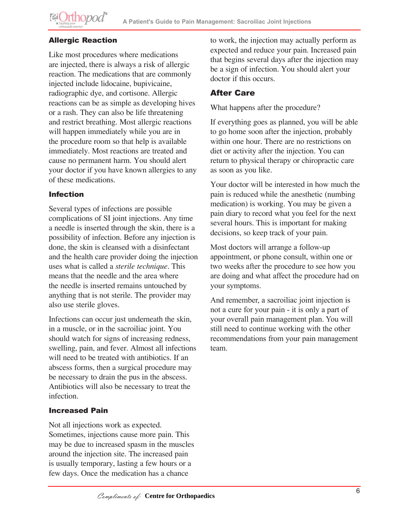## Allergic Reaction

Like most procedures where medications are injected, there is always a risk of allergic reaction. The medications that are commonly injected include lidocaine, bupivicaine, radiographic dye, and cortisone. Allergic reactions can be as simple as developing hives or a rash. They can also be life threatening and restrict breathing. Most allergic reactions will happen immediately while you are in the procedure room so that help is available immediately. Most reactions are treated and cause no permanent harm. You should alert your doctor if you have known allergies to any of these medications.

#### Infection

Several types of infections are possible complications of SI joint injections. Any time a needle is inserted through the skin, there is a possibility of infection. Before any injection is done, the skin is cleansed with a disinfectant and the health care provider doing the injection uses what is called a *sterile technique*. This means that the needle and the area where the needle is inserted remains untouched by anything that is not sterile. The provider may also use sterile gloves.

Infections can occur just underneath the skin, in a muscle, or in the sacroiliac joint. You should watch for signs of increasing redness, swelling, pain, and fever. Almost all infections will need to be treated with antibiotics. If an abscess forms, then a surgical procedure may be necessary to drain the pus in the abscess. Antibiotics will also be necessary to treat the infection.

#### Increased Pain

Not all injections work as expected. Sometimes, injections cause more pain. This may be due to increased spasm in the muscles around the injection site. The increased pain is usually temporary, lasting a few hours or a few days. Once the medication has a chance

to work, the injection may actually perform as expected and reduce your pain. Increased pain that begins several days after the injection may be a sign of infection. You should alert your doctor if this occurs.

## After Care

#### What happens after the procedure?

If everything goes as planned, you will be able to go home soon after the injection, probably within one hour. There are no restrictions on diet or activity after the injection. You can return to physical therapy or chiropractic care as soon as you like.

Your doctor will be interested in how much the pain is reduced while the anesthetic (numbing medication) is working. You may be given a pain diary to record what you feel for the next several hours. This is important for making decisions, so keep track of your pain.

Most doctors will arrange a follow-up appointment, or phone consult, within one or two weeks after the procedure to see how you are doing and what affect the procedure had on your symptoms.

And remember, a sacroiliac joint injection is not a cure for your pain - it is only a part of your overall pain management plan. You will still need to continue working with the other recommendations from your pain management team.